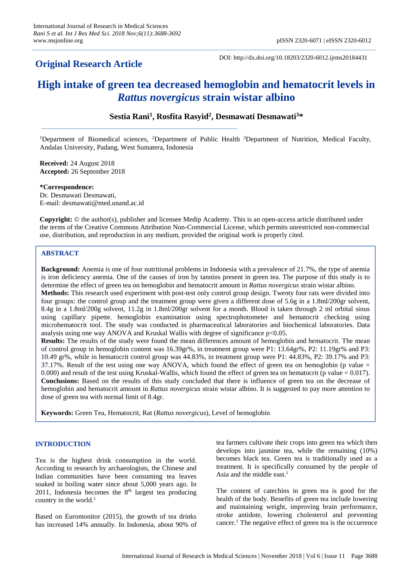## **Original Research Article**

DOI: http://dx.doi.org/10.18203/2320-6012.ijrms20184431

# **High intake of green tea decreased hemoglobin and hematocrit levels in**  *Rattus novergicus* **strain wistar albino**

### **Sestia Rani<sup>1</sup> , Rosfita Rasyid<sup>2</sup> , Desmawati Desmawati<sup>3</sup>\***

<sup>1</sup>Department of Biomedical sciences, <sup>2</sup>Department of Public Health <sup>3</sup>Department of Nutrition, Medical Faculty, Andalas University, Padang, West Sumatera, Indonesia

**Received:** 24 August 2018 **Accepted:** 26 September 2018

**\*Correspondence:** Dr. Desmawati Desmawati, E-mail: desmawati@med.unand.ac.id

**Copyright:** © the author(s), publisher and licensee Medip Academy. This is an open-access article distributed under the terms of the Creative Commons Attribution Non-Commercial License, which permits unrestricted non-commercial use, distribution, and reproduction in any medium, provided the original work is properly cited.

#### **ABSTRACT**

**Background:** Anemia is one of four nutritional problems in Indonesia with a prevalence of 21.7%, the type of anemia is iron deficiency anemia. One of the causes of iron by tannins present in green tea. The purpose of this study is to determine the effect of green tea on hemoglobin and hematocrit amount in *Rattus novergicus* strain wistar albino. **Methods:** This research used experiment with post-test only control group design. Twenty four rats were divided into four groups: the control group and the treatment group were given a different dose of 5.6g in a 1.8ml/200gr solvent, 8.4g in a 1.8ml/200g solvent, 11.2g in 1.8ml/200gr solvent for a month. Blood is taken through 2 ml orbital sinus using capillary pipette. hemoglobin examination using spectrophotometer and hematocrit checking using microhematocrit tool. The study was conducted in pharmaceutical laboratories and biochemical laboratories. Data analysis using one way ANOVA and Kruskal Wallis with degree of significance p<0.05. **Results:** The results of the study were found the mean differences amount of hemoglobin and hematocrit. The mean of control group in hemoglobin content was 16.39gr%, in treatment group were P1: 13.64gr%, P2: 11.19gr% and P3: 10.49 gr%, while in hematocrit control group was 44.83%, in treatment group were P1: 44.83%, P2: 39.17% and P3:  $37.17\%$ . Result of the test using one way ANOVA, which found the effect of green tea on hemoglobin (p value  $=$ 0.000) and result of the test using Kruskal-Wallis, which found the effect of green tea on hematocrit (p value  $= 0.017$ ). **Conclusions:** Based on the results of this study concluded that there is influence of green tea on the decrease of hemoglobin and hematocrit amount in *Rattus novergicus* strain wistar albino. It is suggested to pay more attention to dose of green tea with normal limit of 8.4gr.

**Keywords:** Green Tea, Hematocrit, Rat (*Rattus novergicus*), Level of hemoglobin

#### **INTRODUCTION**

Tea is the highest drink consumption in the world. According to research by archaeologists, the Chinese and Indian communities have been consuming tea leaves soaked in boiling water since about 5,000 years ago. In 2011, Indonesia becomes the  $8<sup>th</sup>$  largest tea producing country in the world. $<sup>1</sup>$ </sup>

Based on Euromonitor (2015), the growth of tea drinks has increased 14% annually. In Indonesia, about 90% of tea farmers cultivate their crops into green tea which then develops into jasmine tea, while the remaining (10%) becomes black tea. Green tea is traditionally used as a treatment. It is specifically consumed by the people of Asia and the middle east. 1

The content of catechins in green tea is good for the health of the body. Benefits of green tea include lowering and maintaining weight, improving brain performance, stroke antidote, lowering cholesterol and preventing cancer.<sup>1</sup> The negative effect of green tea is the occurrence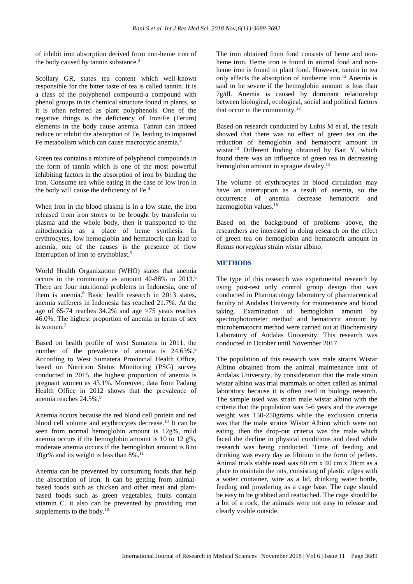of inhibit iron absorption derived from non-heme iron of the body caused by tannin substance.<sup>2</sup>

Scollary GR, states tea content which well-known responsible for the bitter taste of tea is called tannin. It is a class of the polyphenol compound-a compound with phenol groups in its chemical structure found in plants, so it is often referred as plant polyphenols. One of the negative things is the deficiency of Iron/Fe (Ferum) elements in the body cause anemia. Tannin can indeed reduce or inhibit the absorption of Fe, leading to impaired Fe metabolism which can cause macrocytic anemia.<sup>3</sup>

Green tea contains a mixture of polyphenol compounds in the form of tannin which is one of the most powerful inhibiting factors in the absorption of iron by binding the iron. Consume tea while eating in the case of low iron in the body will cause the deficiency of Fe.<sup>4</sup>

When Iron in the blood plasma is in a low state, the iron released from iron stores to be brought by transferin to plasma and the whole body, then it transported to the mitochondria as a place of heme synthesis. In erythrocytes, low hemoglobin and hematocrit can lead to anemia, one of the causes is the presence of flow interruption of iron to erythoblast.<sup>5</sup>

World Health Organization (WHO) states that anemia occurs in the community as amount 40-88% in 2013.<sup>6</sup> There are four nutritional problems in Indonesia, one of them is anemia.<sup>6</sup> Basic health research in 2013 states, anemia sufferers in Indonesia has reached 21.7%. At the age of 65-74 reaches 34.2% and age >75 years reaches 46.0%. The highest proportion of anemia in terms of sex is women.<sup>7</sup>

Based on health profile of west Sumatera in 2011, the number of the prevalence of anemia is 24.63%.<sup>8</sup> According to West Sumatera Provincial Health Office, based on Nutrition Status Monitoring (PSG) survey conducted in 2015, the highest proportion of anemia is pregnant women as 43.1%. Moreover, data from Padang Health Office in 2012 shows that the prevalence of anemia reaches 24.5%.<sup>9</sup>

Anemia occurs because the red blood cell protein and red blood cell volume and erythrocytes decrease.<sup>10</sup> It can be seen from normal hemoglobin amount is 12g%, mild anemia occurs if the hemoglobin amount is 10 to 12 g%, moderate anemia occurs if the hemoglobin amount is 8 to 10gr% and its weight is less than 8%.<sup>11</sup>

Anemia can be prevented by consuming foods that help the absorption of iron. It can be getting from animalbased foods such as chicken and other meat and plantbased foods such as green vegetables, fruits contain vitamin C. it also can be prevented by providing iron supplements to the body.<sup>10</sup>

The iron obtained from food consists of heme and nonheme iron. Heme iron is found in animal food and nonheme iron is found in plant food. However, tannin in tea only affects the absorption of nonheme iron.<sup>12</sup> Anemia is said to be severe if the hemoglobin amount is less than 7g/dl. Anemia is caused by dominant relationship between biological, ecological, social and political factors that occur in the community.<sup>13</sup>

Based on research conducted by Lubis M et al, the result showed that there was no effect of green tea on the reduction of hemoglobin and hematocrit amount in wistar.<sup>14</sup> Different finding obtained by Bait Y, which found there was an influence of green tea in decreasing hemoglobin amount in sprague dawley.<sup>15</sup>

The volume of erythrocytes in blood circulation may have an interruption as a result of anemia, so the occurrence of anemia decrease hematocrit and haemoglobin values.<sup>16</sup>

Based on the background of problems above, the researchers are interested in doing research on the effect of green tea on hemoglobin and hematocrit amount in *Rattus norvegicus* strain wistar albino.

#### **METHODS**

The type of this research was experimental research by using post-test only control group design that was conducted in Pharmacology laboratory of pharmaceutical faculty of Andalas University for maintenance and blood taking. Examination of hemoglobin amount by spectrophotometer method and hematocrit amount by microhematocrit method were carried out at Biochemistry Laboratory of Andalas University. This research was conducted in October until November 2017.

The population of this research was male strains Wistar Albino obtained from the animal maintenance unit of Andalas University, by consideration that the male strain wistar albino was trial mammals or often called as animal laboratory because it is often used in biology research. The sample used was strain male wistar albino with the criteria that the population was 5-6 years and the average weight was 150-250grams while the exclusion criteria was that the male strains Wistar Albino which were not eating, then the drop-out criteria was the male which faced the decline in physical conditions and dead while research was being conducted. Time of feeding and drinking was every day as libitum in the form of pellets. Animal trials stable used was 60 cm x 40 cm x 20cm as a place to maintain the rats, consisting of plastic edges with a water container, wire as a lid, drinking water bottle, feeding and powdering as a cage base. The cage should be easy to be grabbed and reattached. The cage should be a bit of a rock, the animals were not easy to release and clearly visible outside.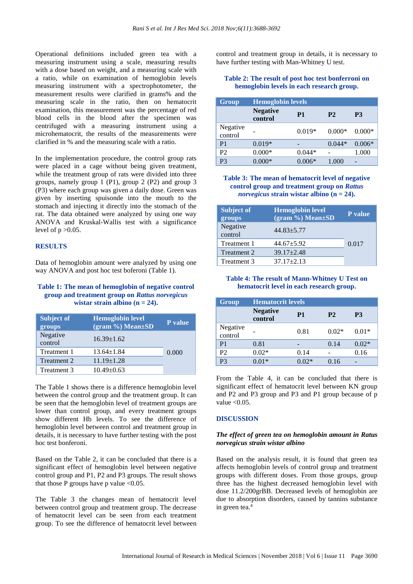Operational definitions included green tea with a measuring instrument using a scale, measuring results with a dose based on weight, and a measuring scale with a ratio, while on examination of hemoglobin levels measuring instrument with a spectrophotometer, the measurement results were clarified in grams% and the measuring scale in the ratio, then on hematocrit examination, this measurement was the percentage of red blood cells in the blood after the specimen was centrifuged with a measuring instrument using a microhematocrit, the results of the measurements were clarified in % and the measuring scale with a ratio.

In the implementation procedure, the control group rats were placed in a cage without being given treatment, while the treatment group of rats were divided into three groups, namely group 1 (P1), group 2 (P2) and group 3 (P3) where each group was given a daily dose. Green was given by inserting spuisonde into the mouth to the stomach and injecting it directly into the stomach of the rat. The data obtained were analyzed by using one way ANOVA and Kruskal-Wallis test with a significance level of  $p > 0.05$ .

#### **RESULTS**

Data of hemoglobin amount were analyzed by using one way ANOVA and post hoc test boferoni (Table 1).

#### **Table 1: The mean of hemoglobin of negative control group and treatment group on** *Rattus norvegicus* **wistar strain albino (n = 24).**

| <b>Subject of</b><br>groups | <b>Hemoglobin level</b><br>$(gram %) Mean \pm SD$ | P value |
|-----------------------------|---------------------------------------------------|---------|
| Negative<br>control         | $16.39 \pm 1.62$                                  |         |
| Treatment 1                 | $13.64 \pm 1.84$                                  | 0.000   |
| Treatment 2                 | $11.19 \pm 1.28$                                  |         |
| Treatment 3                 | $10.49 \pm 0.63$                                  |         |

The Table 1 shows there is a difference hemoglobin level between the control group and the treatment group. It can be seen that the hemoglobin level of treatment groups are lower than control group, and every treatment groups show different Hb levels. To see the difference of hemoglobin level between control and treatment group in details, it is necessary to have further testing with the post hoc test bonferoni.

Based on the Table 2, it can be concluded that there is a significant effect of hemoglobin level between negative control group and P1, P2 and P3 groups. The result shows that those P groups have p value  $<0.05$ .

The Table 3 the changes mean of hematocrit level between control group and treatment group. The decrease of hematocrit level can be seen from each treatment group. To see the difference of hematocrit level between control and treatment group in details, it is necessary to have further testing with Man-Whitney U test.

#### **Table 2: The result of post hoc test bonferroni on hemoglobin levels in each research group.**

| Group               | <b>Hemoglobin levels</b>   |          |                |           |  |
|---------------------|----------------------------|----------|----------------|-----------|--|
|                     | <b>Negative</b><br>control | P1       | P <sub>2</sub> | <b>P3</b> |  |
| Negative<br>control |                            | $0.019*$ | $0.000*$       | $0.000*$  |  |
| P1                  | $0.019*$                   | -        | $0.044*$       | $0.006*$  |  |
| P <sub>2</sub>      | $0.000*$                   | $0.044*$ |                | 1.000     |  |
| P3                  | $0.000*$                   | $0.006*$ | 1.000          |           |  |

#### **Table 3: The mean of hematocrit level of negative control group and treatment group on** *Rattus norvegicus* **strain wistar albino (n = 24).**

| <b>Subject of</b><br>groups | <b>Hemoglobin level</b><br>$(gram %) Mean \pm SD$ | P value |
|-----------------------------|---------------------------------------------------|---------|
| Negative<br>control         | $44.83 + 5.77$                                    |         |
| Treatment 1                 | $44.67 + 5.92$                                    | 0.017   |
| Treatment 2                 | $39.17 + 2.48$                                    |         |
| Treatment 3                 | $37.17 \pm 2.13$                                  |         |

#### **Table 4: The result of Mann-Whitney U Test on hematocrit level in each research group.**

| Group               | <b>Hematocrit levels</b>   |                |                |           |  |
|---------------------|----------------------------|----------------|----------------|-----------|--|
|                     | <b>Negative</b><br>control | P <sub>1</sub> | P <sub>2</sub> | <b>P3</b> |  |
| Negative<br>control |                            | 0.81           | $0.02*$        | $0.01*$   |  |
| P <sub>1</sub>      | 0.81                       | -              | 0.14           | $0.02*$   |  |
| P <sub>2</sub>      | $0.02*$                    | 0.14           |                | 0.16      |  |
| P <sub>3</sub>      | $0.01*$                    | $0.02*$        | 0.16           |           |  |

From the Table 4, it can be concluded that there is significant effect of hematocrit level between KN group and P2 and P3 group and P3 and P1 group because of p value  $< 0.05$ .

#### **DISCUSSION**

#### *The effect of green tea on hemoglobin amount in Ratus norvegicus strain wistar albino*

Based on the analysis result, it is found that green tea affects hemoglobin levels of control group and treatment groups with different doses. From those groups, group three has the highest decreased hemoglobin level with dose 11.2/200grBB. Decreased levels of hemoglobin are due to absorption disorders, caused by tannins substance in green tea.<sup>4</sup>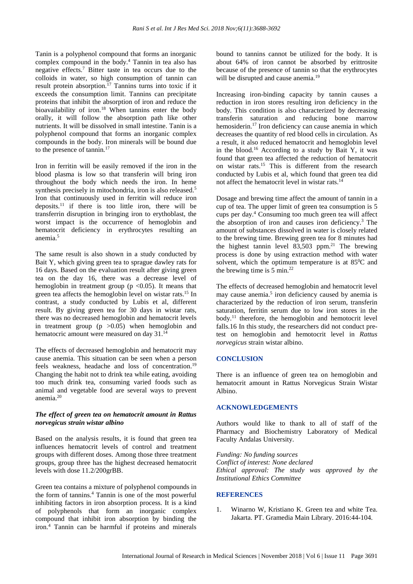Tanin is a polyphenol compound that forms an inorganic complex compound in the body.<sup>4</sup> Tannin in tea also has negative effects.<sup>7</sup> Bitter taste in tea occurs due to the colloids in water, so high consumption of tannin can result protein absorption.<sup>17</sup> Tannins turns into toxic if it exceeds the consumption limit. Tannins can precipitate proteins that inhibit the absorption of iron and reduce the bioavailability of iron.<sup>18</sup> When tannins enter the body orally, it will follow the absorption path like other nutrients. It will be dissolved in small intestine. Tanin is a polyphenol compound that forms an inorganic complex compounds in the body. Iron minerals will be bound due to the presence of tannin.<sup>17</sup>

Iron in ferritin will be easily removed if the iron in the blood plasma is low so that transferin will bring iron throughout the body which needs the iron. In heme synthesis precisely in mitochondria, iron is also released.<sup>5</sup> Iron that continuously used in ferritin will reduce iron deposits.<sup>11</sup> if there is too little iron, there will be transferrin disruption in bringing iron to erythoblast, the worst impact is the occurrence of hemoglobin and hematocrit deficiency in erythrocytes resulting an anemia.<sup>5</sup>

The same result is also shown in a study conducted by Bait Y, which giving green tea to sprague dawley rats for 16 days. Based on the evaluation result after giving green tea on the day 16, there was a decrease level of hemoglobin in treatment group ( $p \le 0.05$ ). It means that green tea affects the hemoglobin level on wistar rats.<sup>15</sup> In contrast, a study conducted by Lubis et al, different result. By giving green tea for 30 days in wistar rats, there was no decreased hemoglobin and hematocrit levels in treatment group  $(p > 0.05)$  when hemoglobin and hematocric amount were measured on day 31.<sup>14</sup>

The effects of decreased hemoglobin and hematocrit may cause anemia. This situation can be seen when a person feels weakness, headache and loss of concentration.<sup>19</sup> Changing the habit not to drink tea while eating, avoiding too much drink tea, consuming varied foods such as animal and vegetable food are several ways to prevent anemia.<sup>20</sup>

#### *The effect of green tea on hematocrit amount in Rattus norvegicus strain wistar albino*

Based on the analysis results, it is found that green tea influences hematocrit levels of control and treatment groups with different doses. Among those three treatment groups, group three has the highest decreased hematocrit levels with dose 11.2/200grBB.

Green tea contains a mixture of polyphenol compounds in the form of tannins.<sup>4</sup> Tannin is one of the most powerful inhibiting factors in iron absorption process. It is a kind of polyphenols that form an inorganic complex compound that inhibit iron absorption by binding the iron.<sup>4</sup> Tannin can be harmful if proteins and minerals bound to tannins cannot be utilized for the body. It is about 64% of iron cannot be absorbed by erittrosite because of the presence of tannin so that the erythrocytes will be disrupted and cause anemia.<sup>19</sup>

Increasing iron-binding capacity by tannin causes a reduction in iron stores resulting iron deficiency in the body. This condition is also characterized by decreasing transferin saturation and reducing bone marrow hemosiderin.<sup>17</sup> Iron deficiency can cause anemia in which decreases the quantity of red blood cells in circulation. As a result, it also reduced hematocrit and hemoglobin level in the blood.<sup>16</sup> According to a study by Bait Y, it was found that green tea affected the reduction of hematocrit on wistar rats.<sup>15</sup> This is different from the research conducted by Lubis et al, which found that green tea did not affect the hematocrit level in wistar rats.<sup>14</sup>

Dosage and brewing time affect the amount of tannin in a cup of tea. The upper limit of green tea consumption is 5 cups per day.<sup>4</sup> Consuming too much green tea will affect the absorption of iron and causes iron deficiency.<sup>3</sup> The amount of substances dissolved in water is closely related to the brewing time. Brewing green tea for 8 minutes had the highest tannin level  $83,503$  ppm.<sup>21</sup> The brewing process is done by using extraction method with water solvent, which the optimum temperature is at  $85^{\circ}$ C and the brewing time is  $5 \text{ min.}^{22}$ 

The effects of decreased hemoglobin and hematocrit level may cause anemia.<sup>5</sup> iron deficiency caused by anemia is characterized by the reduction of iron serum, transferin saturation, ferritin serum due to low iron stores in the body.<sup>11</sup> therefore, the hemoglobin and hemotocrit level falls.16 In this study, the researchers did not conduct pretest on hemoglobin and hemotocrit level in *Rattus norvegicus* strain wistar albino.

#### **CONCLUSION**

There is an influence of green tea on hemoglobin and hematocrit amount in Rattus Norvegicus Strain Wistar Albino.

#### **ACKNOWLEDGEMENTS**

Authors would like to thank to all of staff of the Pharmacy and Biochemistry Laboratory of Medical Faculty Andalas University.

*Funding: No funding sources Conflict of interest: None declared Ethical approval: The study was approved by the Institutional Ethics Committee*

#### **REFERENCES**

1. Winarno W, Kristiano K. Green tea and white Tea. Jakarta. PT. Gramedia Main Library. 2016:44-104.